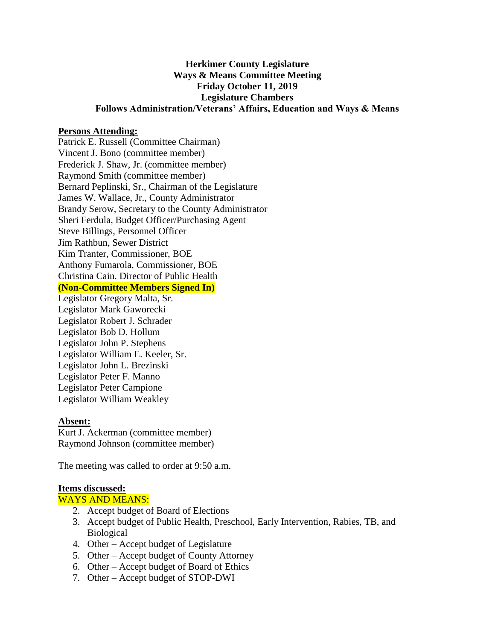# **Herkimer County Legislature Ways & Means Committee Meeting Friday October 11, 2019 Legislature Chambers Follows Administration/Veterans' Affairs, Education and Ways & Means**

### **Persons Attending:**

Patrick E. Russell (Committee Chairman) Vincent J. Bono (committee member) Frederick J. Shaw, Jr. (committee member) Raymond Smith (committee member) Bernard Peplinski, Sr., Chairman of the Legislature James W. Wallace, Jr., County Administrator Brandy Serow, Secretary to the County Administrator Sheri Ferdula, Budget Officer/Purchasing Agent Steve Billings, Personnel Officer Jim Rathbun, Sewer District Kim Tranter, Commissioner, BOE Anthony Fumarola, Commissioner, BOE Christina Cain. Director of Public Health **(Non-Committee Members Signed In)**

Legislator Gregory Malta, Sr. Legislator Mark Gaworecki Legislator Robert J. Schrader Legislator Bob D. Hollum Legislator John P. Stephens Legislator William E. Keeler, Sr. Legislator John L. Brezinski Legislator Peter F. Manno Legislator Peter Campione Legislator William Weakley

#### **Absent:**

Kurt J. Ackerman (committee member) Raymond Johnson (committee member)

The meeting was called to order at 9:50 a.m.

#### **Items discussed:**

#### WAYS AND MEANS:

- 2. Accept budget of Board of Elections
- 3. Accept budget of Public Health, Preschool, Early Intervention, Rabies, TB, and Biological
- 4. Other Accept budget of Legislature
- 5. Other Accept budget of County Attorney
- 6. Other Accept budget of Board of Ethics
- 7. Other Accept budget of STOP-DWI